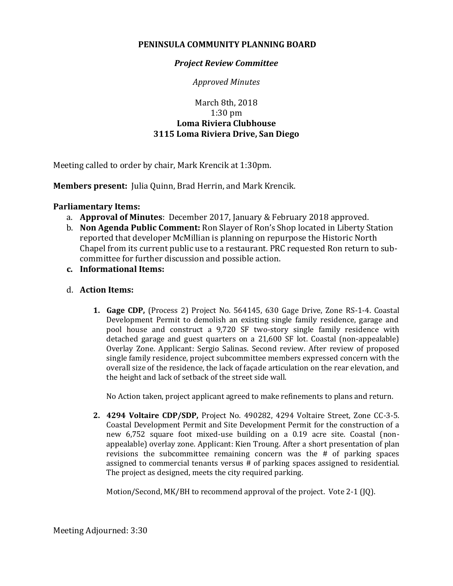## **PENINSULA COMMUNITY PLANNING BOARD**

## *Project Review Committee*

*Approved Minutes*

## March 8th, 2018 1:30 pm **Loma Riviera Clubhouse 3115 Loma Riviera Drive, San Diego**

Meeting called to order by chair, Mark Krencik at 1:30pm.

**Members present:** Julia Quinn, Brad Herrin, and Mark Krencik.

## **Parliamentary Items:**

- a. **Approval of Minutes**: December 2017, January & February 2018 approved.
- b. **Non Agenda Public Comment:** Ron Slayer of Ron's Shop located in Liberty Station reported that developer McMillian is planning on repurpose the Historic North Chapel from its current public use to a restaurant. PRC requested Ron return to subcommittee for further discussion and possible action.
- **c. Informational Items:**
- d. **Action Items:**
	- **1. Gage CDP,** (Process 2) Project No. 564145, 630 Gage Drive, Zone RS-1-4. Coastal Development Permit to demolish an existing single family residence, garage and pool house and construct a 9,720 SF two-story single family residence with detached garage and guest quarters on a 21,600 SF lot. Coastal (non-appealable) Overlay Zone. Applicant: Sergio Salinas. Second review. After review of proposed single family residence, project subcommittee members expressed concern with the overall size of the residence, the lack of façade articulation on the rear elevation, and the height and lack of setback of the street side wall.

No Action taken, project applicant agreed to make refinements to plans and return.

**2. 4294 Voltaire CDP/SDP,** Project No. 490282, 4294 Voltaire Street, Zone CC-3-5. Coastal Development Permit and Site Development Permit for the construction of a new 6,752 square foot mixed-use building on a 0.19 acre site. Coastal (nonappealable) overlay zone. Applicant: Kien Troung. After a short presentation of plan revisions the subcommittee remaining concern was the # of parking spaces assigned to commercial tenants versus # of parking spaces assigned to residential. The project as designed, meets the city required parking.

Motion/Second, MK/BH to recommend approval of the project. Vote 2-1 (JQ).